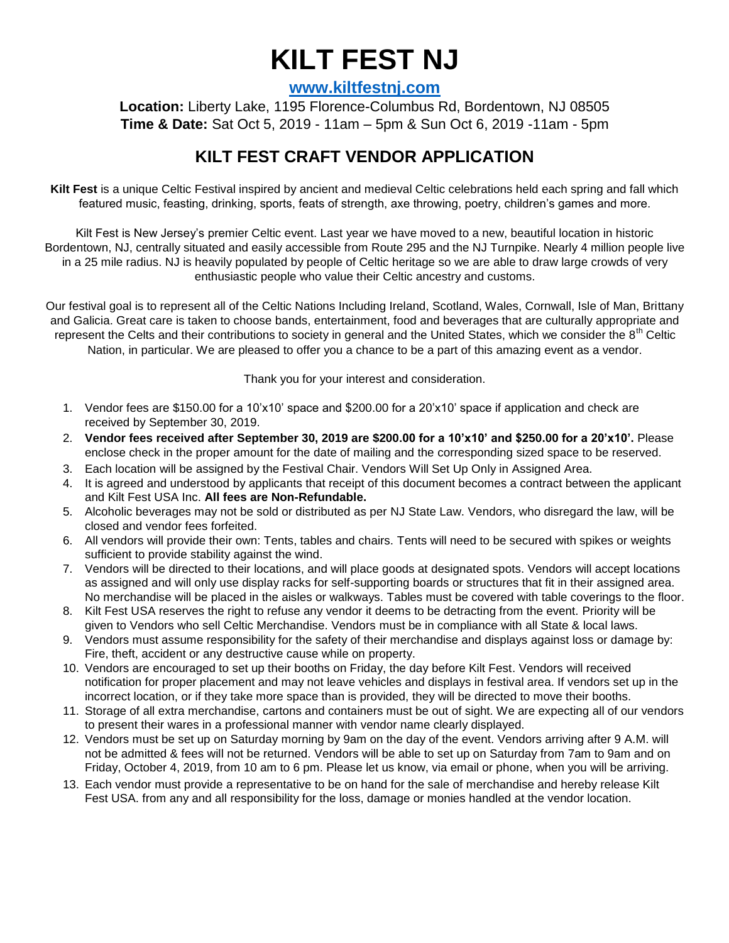## **KILT FEST NJ**

**[www.kiltfestnj.com](http://www.kiltfestnj.com/)**

**Location:** Liberty Lake, 1195 Florence-Columbus Rd, Bordentown, NJ 08505 **Time & Date:** Sat Oct 5, 2019 - 11am – 5pm & Sun Oct 6, 2019 -11am - 5pm

## **KILT FEST CRAFT VENDOR APPLICATION**

**Kilt Fest** is a unique Celtic Festival inspired by ancient and medieval Celtic celebrations held each spring and fall which featured music, feasting, drinking, sports, feats of strength, axe throwing, poetry, children's games and more.

Kilt Fest is New Jersey's premier Celtic event. Last year we have moved to a new, beautiful location in historic Bordentown, NJ, centrally situated and easily accessible from Route 295 and the NJ Turnpike. Nearly 4 million people live in a 25 mile radius. NJ is heavily populated by people of Celtic heritage so we are able to draw large crowds of very enthusiastic people who value their Celtic ancestry and customs.

Our festival goal is to represent all of the Celtic Nations Including Ireland, Scotland, Wales, Cornwall, Isle of Man, Brittany and Galicia. Great care is taken to choose bands, entertainment, food and beverages that are culturally appropriate and represent the Celts and their contributions to society in general and the United States, which we consider the 8<sup>th</sup> Celtic Nation, in particular. We are pleased to offer you a chance to be a part of this amazing event as a vendor.

Thank you for your interest and consideration.

- 1. Vendor fees are \$150.00 for a 10'x10' space and \$200.00 for a 20'x10' space if application and check are received by September 30, 2019.
- 2. **Vendor fees received after September 30, 2019 are \$200.00 for a 10'x10' and \$250.00 for a 20'x10'.** Please enclose check in the proper amount for the date of mailing and the corresponding sized space to be reserved.
- 3. Each location will be assigned by the Festival Chair. Vendors Will Set Up Only in Assigned Area.
- 4. It is agreed and understood by applicants that receipt of this document becomes a contract between the applicant and Kilt Fest USA Inc. **All fees are Non-Refundable.**
- 5. Alcoholic beverages may not be sold or distributed as per NJ State Law. Vendors, who disregard the law, will be closed and vendor fees forfeited.
- 6. All vendors will provide their own: Tents, tables and chairs. Tents will need to be secured with spikes or weights sufficient to provide stability against the wind.
- 7. Vendors will be directed to their locations, and will place goods at designated spots. Vendors will accept locations as assigned and will only use display racks for self-supporting boards or structures that fit in their assigned area. No merchandise will be placed in the aisles or walkways. Tables must be covered with table coverings to the floor.
- 8. Kilt Fest USA reserves the right to refuse any vendor it deems to be detracting from the event. Priority will be given to Vendors who sell Celtic Merchandise. Vendors must be in compliance with all State & local laws.
- 9. Vendors must assume responsibility for the safety of their merchandise and displays against loss or damage by: Fire, theft, accident or any destructive cause while on property.
- 10. Vendors are encouraged to set up their booths on Friday, the day before Kilt Fest. Vendors will received notification for proper placement and may not leave vehicles and displays in festival area. If vendors set up in the incorrect location, or if they take more space than is provided, they will be directed to move their booths.
- 11. Storage of all extra merchandise, cartons and containers must be out of sight. We are expecting all of our vendors to present their wares in a professional manner with vendor name clearly displayed.
- 12. Vendors must be set up on Saturday morning by 9am on the day of the event. Vendors arriving after 9 A.M. will not be admitted & fees will not be returned. Vendors will be able to set up on Saturday from 7am to 9am and on Friday, October 4, 2019, from 10 am to 6 pm. Please let us know, via email or phone, when you will be arriving.
- 13. Each vendor must provide a representative to be on hand for the sale of merchandise and hereby release Kilt Fest USA. from any and all responsibility for the loss, damage or monies handled at the vendor location.